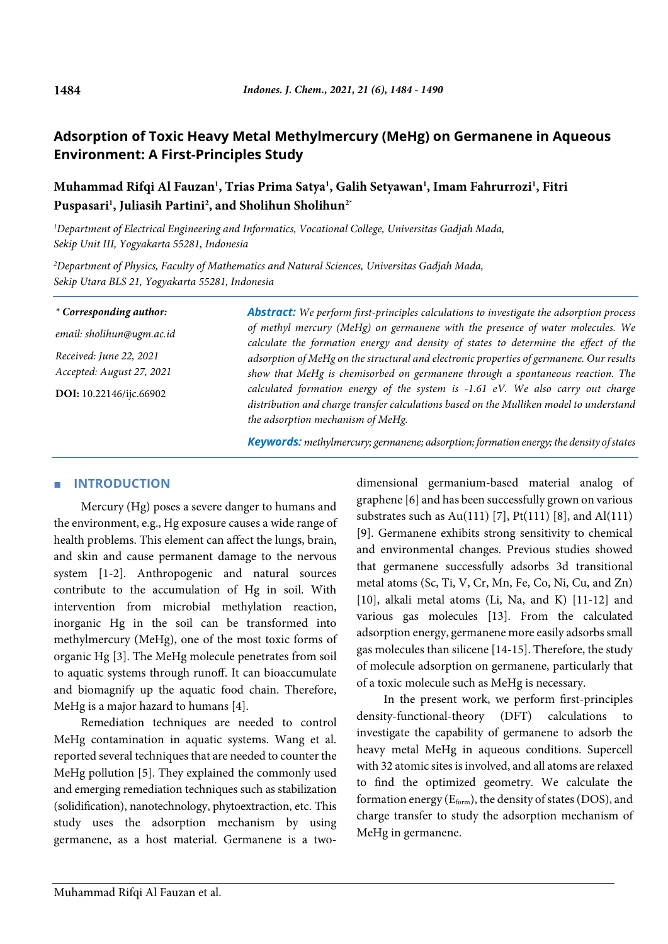# **Adsorption of Toxic Heavy Metal Methylmercury (MeHg) on Germanene in Aqueous Environment: A First-Principles Study**

# **Muhammad Rifqi Al Fauzan1 , Trias Prima Satya1 , Galih Setyawan1 , Imam Fahrurrozi1 , Fitri**  Puspasari<sup>1</sup>, Juliasih Partini<sup>2</sup>, and Sholihun Sholihun<sup>2\*</sup>

*1 Department of Electrical Engineering and Informatics, Vocational College, Universitas Gadjah Mada, Sekip Unit III, Yogyakarta 55281, Indonesia*

*2 Department of Physics, Faculty of Mathematics and Natural Sciences, Universitas Gadjah Mada, Sekip Utara BLS 21, Yogyakarta 55281, Indonesia*

#### *\* Corresponding author:*

*email: sholihun@ugm.ac.id Received: June 22, 2021 Accepted: August 27, 2021*

**DOI:** 10.22146/ijc.66902

*Abstract: We perform first-principles calculations to investigate the adsorption process of methyl mercury (MeHg) on germanene with the presence of water molecules. We calculate the formation energy and density of states to determine the effect of the adsorption of MeHg on the structural and electronic properties of germanene. Our results show that MeHg is chemisorbed on germanene through a spontaneous reaction. The calculated formation energy of the system is -1.61 eV. We also carry out charge distribution and charge transfer calculations based on the Mulliken model to understand the adsorption mechanism of MeHg.*

*Keywords: methylmercury; germanene; adsorption; formation energy; the density of states*

#### ■ **INTRODUCTION**

Mercury (Hg) poses a severe danger to humans and the environment, e.g., Hg exposure causes a wide range of health problems. This element can affect the lungs, brain, and skin and cause permanent damage to the nervous system [1-2]. Anthropogenic and natural sources contribute to the accumulation of Hg in soil. With intervention from microbial methylation reaction, inorganic Hg in the soil can be transformed into methylmercury (MeHg), one of the most toxic forms of organic Hg [3]. The MeHg molecule penetrates from soil to aquatic systems through runoff. It can bioaccumulate and biomagnify up the aquatic food chain. Therefore, MeHg is a major hazard to humans [4].

Remediation techniques are needed to control MeHg contamination in aquatic systems. Wang et al. reported several techniques that are needed to counter the MeHg pollution [5]. They explained the commonly used and emerging remediation techniques such as stabilization (solidification), nanotechnology, phytoextraction, etc. This study uses the adsorption mechanism by using germanene, as a host material. Germanene is a twodimensional germanium-based material analog of graphene [6] and has been successfully grown on various substrates such as Au(111) [7],  $Pt(111)$  [8], and Al(111) [9]. Germanene exhibits strong sensitivity to chemical and environmental changes. Previous studies showed that germanene successfully adsorbs 3d transitional metal atoms (Sc, Ti, V, Cr, Mn, Fe, Co, Ni, Cu, and Zn) [10], alkali metal atoms (Li, Na, and K) [11-12] and various gas molecules [13]. From the calculated adsorption energy, germanene more easily adsorbs small gas molecules than silicene [14-15]. Therefore, the study of molecule adsorption on germanene, particularly that of a toxic molecule such as MeHg is necessary.

In the present work, we perform first-principles density-functional-theory (DFT) calculations to investigate the capability of germanene to adsorb the heavy metal MeHg in aqueous conditions. Supercell with 32 atomic sites is involved, and all atoms are relaxed to find the optimized geometry. We calculate the formation energy  $(E_{form})$ , the density of states (DOS), and charge transfer to study the adsorption mechanism of MeHg in germanene.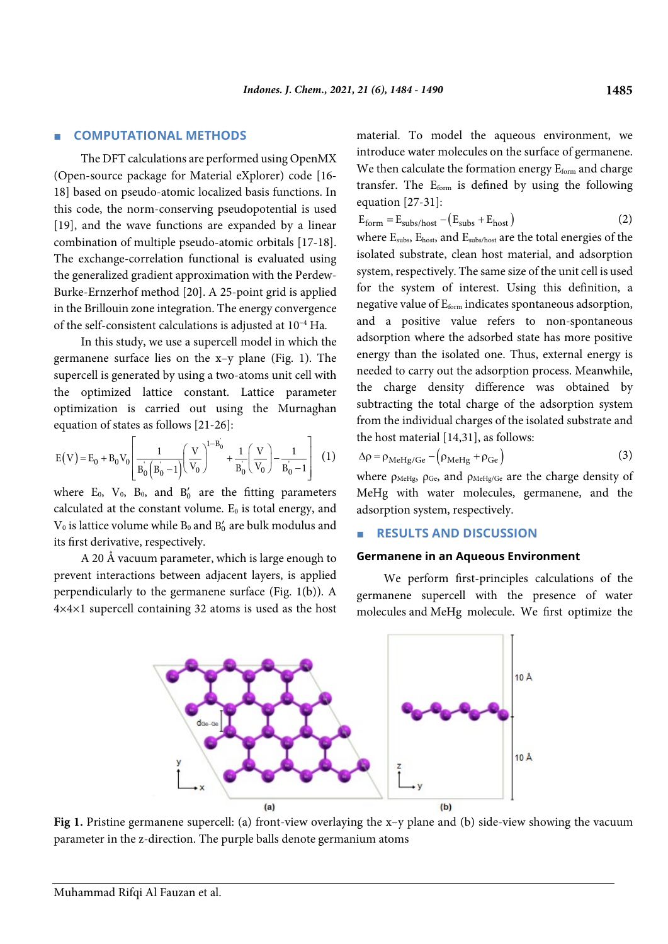#### **COMPUTATIONAL METHODS**

The DFT calculations are performed using OpenMX (Open-source package for Material eXplorer) code [16- 18] based on pseudo-atomic localized basis functions. In this code, the norm-conserving pseudopotential is used [19], and the wave functions are expanded by a linear combination of multiple pseudo-atomic orbitals [17-18]. The exchange-correlation functional is evaluated using the generalized gradient approximation with the Perdew-Burke-Ernzerhof method [20]. A 25-point grid is applied in the Brillouin zone integration. The energy convergence of the self-consistent calculations is adjusted at 10−4 Ha.

In this study, we use a supercell model in which the germanene surface lies on the x–y plane (Fig. 1). The supercell is generated by using a two-atoms unit cell with the optimized lattice constant. Lattice parameter optimization is carried out using the Murnaghan equation of states as follows [21-26]:

$$
E(V) = E_0 + B_0 V_0 \left[ \frac{1}{B_0 (B_0 - 1)} \left( \frac{V}{V_0} \right)^{1 - B_0} + \frac{1}{B_0} \left( \frac{V}{V_0} \right) - \frac{1}{B_0 - 1} \right] (1)
$$

where  $E_0$ ,  $V_0$ ,  $B_0$ , and  $B'_0$  are the fitting parameters calculated at the constant volume.  $E_0$  is total energy, and  $V_0$  is lattice volume while  $B_0$  and  $B'_0$  are bulk modulus and its first derivative, respectively.

A 20 Å vacuum parameter, which is large enough to prevent interactions between adjacent layers, is applied perpendicularly to the germanene surface (Fig. 1(b)). A 4×4×1 supercell containing 32 atoms is used as the host material. To model the aqueous environment, we introduce water molecules on the surface of germanene. We then calculate the formation energy  $E_{form}$  and charge transfer. The E<sub>form</sub> is defined by using the following equation [27-31]:

$$
E_{\text{form}} = E_{\text{subs/host}} - (E_{\text{subs}} + E_{\text{host}})
$$
 (2)

where Esubs, Ehost, and Esubs/host are the total energies of the isolated substrate, clean host material, and adsorption system, respectively. The same size of the unit cell is used for the system of interest. Using this definition, a negative value of Eform indicates spontaneous adsorption, and a positive value refers to non-spontaneous adsorption where the adsorbed state has more positive energy than the isolated one. Thus, external energy is needed to carry out the adsorption process. Meanwhile, the charge density difference was obtained by subtracting the total charge of the adsorption system from the individual charges of the isolated substrate and the host material [14,31], as follows:

$$
\Delta \rho = \rho_{\text{MeHg/Ge}} - (\rho_{\text{MeHg}} + \rho_{\text{Ge}}) \tag{3}
$$

where  $\rho_{\text{MeHg}}$ ,  $\rho_{\text{Ge}}$ , and  $\rho_{\text{MeHg/Ge}}$  are the charge density of MeHg with water molecules, germanene, and the adsorption system, respectively.

# ■ **RESULTS AND DISCUSSION**

#### **Germanene in an Aqueous Environment**

We perform first-principles calculations of the germanene supercell with the presence of water molecules and MeHg molecule. We first optimize the



**Fig 1.** Pristine germanene supercell: (a) front-view overlaying the x–y plane and (b) side-view showing the vacuum parameter in the z-direction. The purple balls denote germanium atoms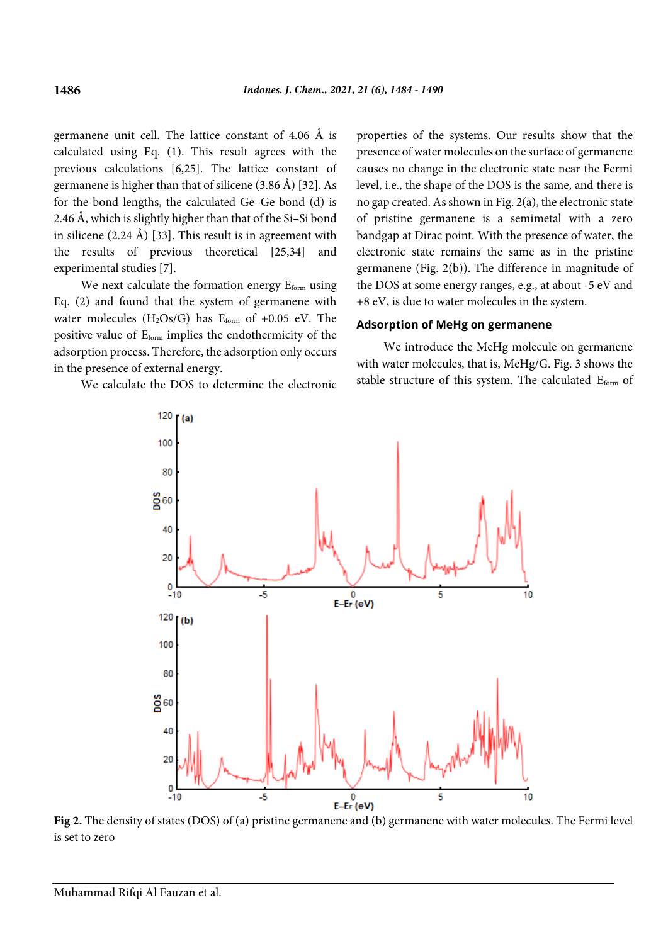germanene unit cell. The lattice constant of 4.06 Å is calculated using Eq. (1). This result agrees with the previous calculations [6,25]. The lattice constant of germanene is higher than that of silicene (3.86 Å) [32]. As for the bond lengths, the calculated Ge–Ge bond (d) is 2.46 Å, which is slightly higher than that of the Si–Si bond in silicene  $(2.24 \text{ Å})$  [33]. This result is in agreement with the results of previous theoretical [25,34] and experimental studies [7].

We next calculate the formation energy  $E_{form}$  using Eq. (2) and found that the system of germanene with water molecules (H<sub>2</sub>Os/G) has  $E_{form}$  of +0.05 eV. The positive value of Eform implies the endothermicity of the adsorption process. Therefore, the adsorption only occurs in the presence of external energy.

We calculate the DOS to determine the electronic

properties of the systems. Our results show that the presence of water molecules on the surface of germanene causes no change in the electronic state near the Fermi level, i.e., the shape of the DOS is the same, and there is no gap created. As shown in Fig. 2(a), the electronic state of pristine germanene is a semimetal with a zero bandgap at Dirac point. With the presence of water, the electronic state remains the same as in the pristine germanene (Fig. 2(b)). The difference in magnitude of the DOS at some energy ranges, e.g., at about -5 eV and +8 eV, is due to water molecules in the system.

### **Adsorption of MeHg on germanene**

We introduce the MeHg molecule on germanene with water molecules, that is, MeHg/G. Fig. 3 shows the stable structure of this system. The calculated Eform of



**Fig 2.** The density of states (DOS) of (a) pristine germanene and (b) germanene with water molecules. The Fermi level is set to zero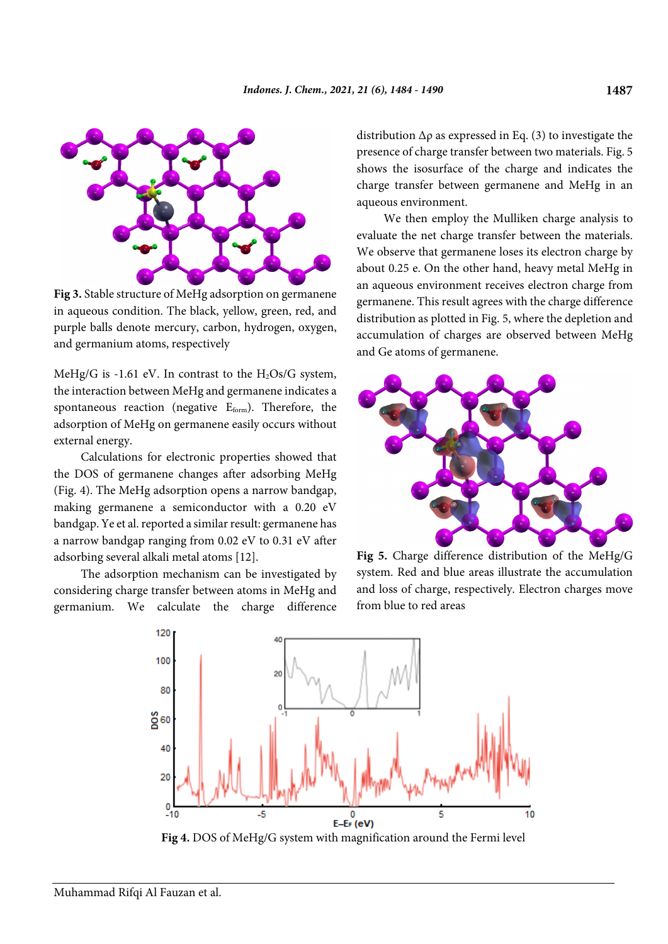

**Fig 3.** Stable structure of MeHg adsorption on germanene in aqueous condition. The black, yellow, green, red, and purple balls denote mercury, carbon, hydrogen, oxygen, and germanium atoms, respectively

MeHg/G is -1.61 eV. In contrast to the  $H_2Os/G$  system, the interaction between MeHg and germanene indicates a spontaneous reaction (negative  $E_{form}$ ). Therefore, the adsorption of MeHg on germanene easily occurs without external energy.

Calculations for electronic properties showed that the DOS of germanene changes after adsorbing MeHg (Fig. 4). The MeHg adsorption opens a narrow bandgap, making germanene a semiconductor with a 0.20 eV bandgap. Ye et al. reported a similar result: germanene has a narrow bandgap ranging from 0.02 eV to 0.31 eV after adsorbing several alkali metal atoms [12].

The adsorption mechanism can be investigated by considering charge transfer between atoms in MeHg and germanium. We calculate the charge difference distribution  $\Delta \rho$  as expressed in Eq. (3) to investigate the presence of charge transfer between two materials. Fig. 5 shows the isosurface of the charge and indicates the charge transfer between germanene and MeHg in an aqueous environment.

We then employ the Mulliken charge analysis to evaluate the net charge transfer between the materials. We observe that germanene loses its electron charge by about 0.25 e. On the other hand, heavy metal MeHg in an aqueous environment receives electron charge from germanene. This result agrees with the charge difference distribution as plotted in Fig. 5, where the depletion and accumulation of charges are observed between MeHg and Ge atoms of germanene.



**Fig 5.** Charge difference distribution of the MeHg/G system. Red and blue areas illustrate the accumulation and loss of charge, respectively. Electron charges move from blue to red areas



**Fig 4.** DOS of MeHg/G system with magnification around the Fermi level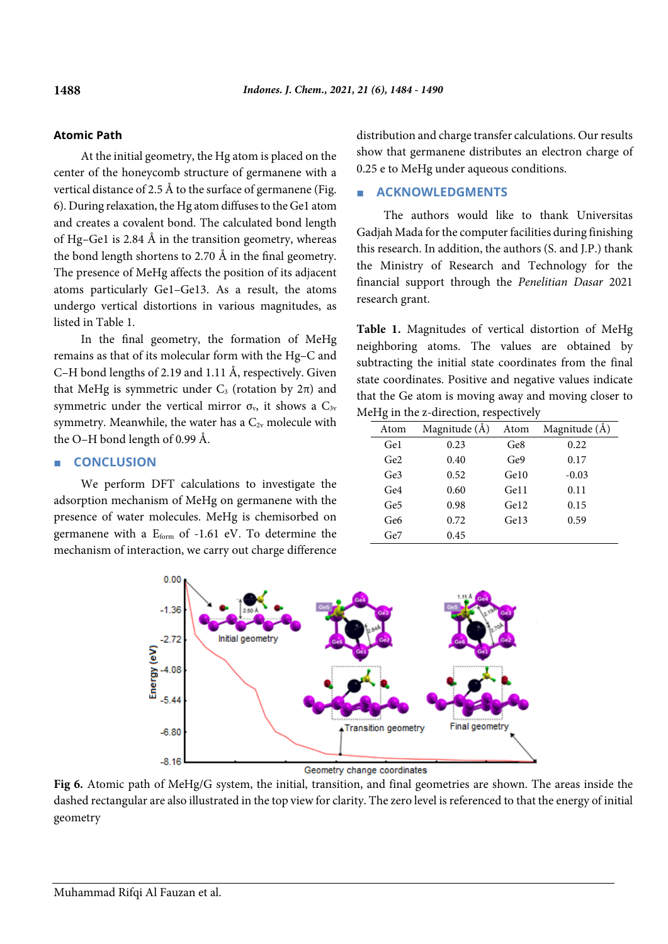## **Atomic Path**

At the initial geometry, the Hg atom is placed on the center of the honeycomb structure of germanene with a vertical distance of 2.5 Å to the surface of germanene (Fig. 6). During relaxation, the Hg atom diffuses to the Ge1 atom and creates a covalent bond. The calculated bond length of Hg–Ge1 is 2.84 Å in the transition geometry, whereas the bond length shortens to 2.70 Å in the final geometry. The presence of MeHg affects the position of its adjacent atoms particularly Ge1–Ge13. As a result, the atoms undergo vertical distortions in various magnitudes, as listed in Table 1.

In the final geometry, the formation of MeHg remains as that of its molecular form with the Hg–C and C–H bond lengths of 2.19 and 1.11 Å, respectively. Given that MeHg is symmetric under  $C_3$  (rotation by  $2\pi$ ) and symmetric under the vertical mirror  $\sigma_{v}$ , it shows a  $C_{3v}$ symmetry. Meanwhile, the water has a  $C_{2v}$  molecule with the O–H bond length of 0.99 Å.

## ■ **CONCLUSION**

We perform DFT calculations to investigate the adsorption mechanism of MeHg on germanene with the presence of water molecules. MeHg is chemisorbed on germanene with a  $E_{form}$  of -1.61 eV. To determine the mechanism of interaction, we carry out charge difference distribution and charge transfer calculations. Our results show that germanene distributes an electron charge of 0.25 e to MeHg under aqueous conditions.

## ■ **ACKNOWLEDGMENTS**

The authors would like to thank Universitas Gadjah Mada for the computer facilities during finishing this research. In addition, the authors (S. and J.P.) thank the Ministry of Research and Technology for the financial support through the *Penelitian Dasar* 2021 research grant.

**Table 1.** Magnitudes of vertical distortion of MeHg neighboring atoms. The values are obtained by subtracting the initial state coordinates from the final state coordinates. Positive and negative values indicate that the Ge atom is moving away and moving closer to MeHg in the z-direction, respectively

| Atom            | Magnitude (Å) | Atom             | Magnitude (Å) |
|-----------------|---------------|------------------|---------------|
| Ge <sub>1</sub> | 0.23          | Ge8              | 0.22          |
| Ge2             | 0.40          | Ge9              | 0.17          |
| Ge <sub>3</sub> | 0.52          | Ge10             | $-0.03$       |
| Ge4             | 0.60          | Ge <sub>11</sub> | 0.11          |
| Ge <sub>5</sub> | 0.98          | Ge12             | 0.15          |
| Ge6             | 0.72          | Ge13             | 0.59          |
| Ge7             | 0.45          |                  |               |



Geometry change coordinates

**Fig 6.** Atomic path of MeHg/G system, the initial, transition, and final geometries are shown. The areas inside the dashed rectangular are also illustrated in the top view for clarity. The zero level is referenced to that the energy of initial geometry

### **1488**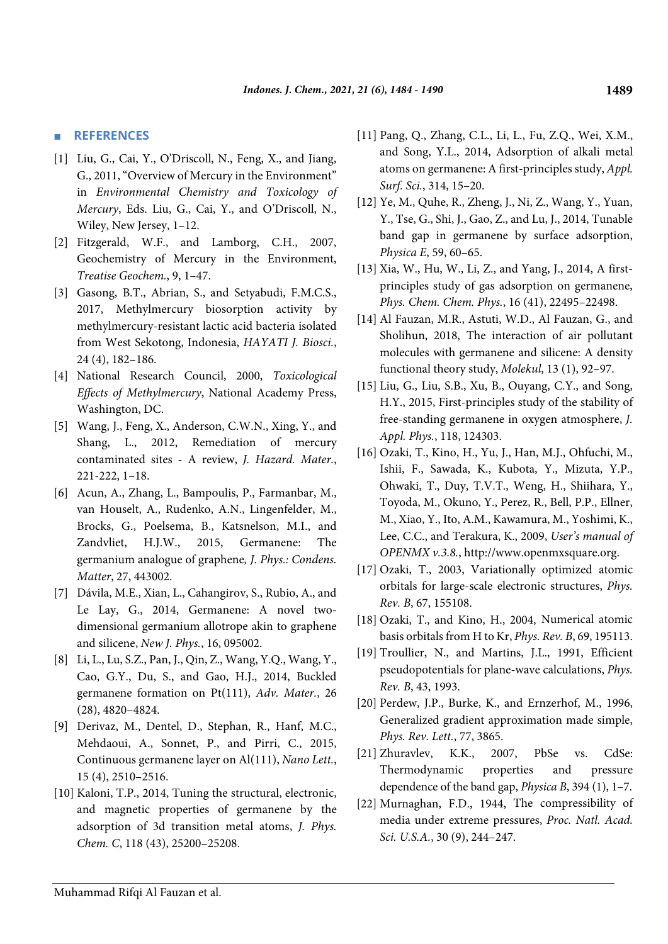### ■ **REFERENCES**

- [1] Liu, G., Cai, Y., O'Driscoll, N., Feng, X., and Jiang, G., 2011, "Overview of Mercury in the Environment" in *Environmental Chemistry and Toxicology of Mercury*, Eds. Liu, G., Cai, Y., and O'Driscoll, N., Wiley, New Jersey, 1–12.
- [2] Fitzgerald, W.F., and Lamborg, C.H., 2007, Geochemistry of Mercury in the Environment, *Treatise Geochem.*, 9, 1–47.
- [3] Gasong, B.T., Abrian, S., and Setyabudi, F.M.C.S., 2017, Methylmercury biosorption activity by methylmercury-resistant lactic acid bacteria isolated from West Sekotong, Indonesia, *HAYATI J. Biosci.*, 24 (4), 182–186.
- [4] National Research Council, 2000, *Toxicological Effects of Methylmercury*, National Academy Press, Washington, DC.
- [5] Wang, J., Feng, X., Anderson, C.W.N., Xing, Y., and Shang, L., 2012, Remediation of mercury contaminated sites - A review, *J. Hazard. Mater.*, 221-222, 1–18.
- [6] Acun, A., Zhang, L., Bampoulis, P., Farmanbar, M., van Houselt, A., Rudenko, A.N., Lingenfelder, M., Brocks, G., Poelsema, B., Katsnelson, M.I., and Zandvliet, H.J.W., 2015, Germanene: The germanium analogue of graphene*, J. Phys.: Condens. Matter*, 27, 443002.
- [7] Dávila, M.E., Xian, L., Cahangirov, S., Rubio, A., and Le Lay, G., 2014, Germanene: A novel twodimensional germanium allotrope akin to graphene and silicene, *New J. Phys.*, 16, 095002.
- [8] Li, L., Lu, S.Z., Pan, J., Qin, Z., Wang, Y.Q., Wang, Y., Cao, G.Y., Du, S., and Gao, H.J., 2014, Buckled germanene formation on Pt(111), *Adv. Mater.*, 26 (28), 4820–4824.
- [9] Derivaz, M., Dentel, D., Stephan, R., Hanf, M.C., Mehdaoui, A., Sonnet, P., and Pirri, C., 2015, Continuous germanene layer on Al(111), *Nano Lett.*, 15 (4), 2510–2516.
- [10] Kaloni, T.P., 2014, Tuning the structural, electronic, and magnetic properties of germanene by the adsorption of 3d transition metal atoms, *J. Phys. Chem. C*, 118 (43), 25200–25208.
- [11] Pang, Q., Zhang, C.L., Li, L., Fu, Z.Q., Wei, X.M., and Song, Y.L., 2014, Adsorption of alkali metal atoms on germanene: A first-principles study, *Appl. Surf. Sci.*, 314, 15–20.
- [12] Ye, M., Quhe, R., Zheng, J., Ni, Z., Wang, Y., Yuan, Y., Tse, G., Shi, J., Gao, Z., and Lu, J., 2014, Tunable band gap in germanene by surface adsorption, *Physica E*, 59, 60–65.
- [13] Xia, W., Hu, W., Li, Z., and Yang, J., 2014, A firstprinciples study of gas adsorption on germanene, *Phys. Chem. Chem. Phys.*, 16 (41), 22495–22498.
- [14] Al Fauzan, M.R., Astuti, W.D., Al Fauzan, G., and Sholihun, 2018, The interaction of air pollutant molecules with germanene and silicene: A density functional theory study, *Molekul*, 13 (1), 92–97.
- [15] Liu, G., Liu, S.B., Xu, B., Ouyang, C.Y., and Song, H.Y., 2015, First-principles study of the stability of free-standing germanene in oxygen atmosphere, *J. Appl. Phys.*, 118, 124303.
- [16] Ozaki, T., Kino, H., Yu, J., Han, M.J., Ohfuchi, M., Ishii, F., Sawada, K., Kubota, Y., Mizuta, Y.P., Ohwaki, T., Duy, T.V.T., Weng, H., Shiihara, Y., Toyoda, M., Okuno, Y., Perez, R., Bell, P.P., Ellner, M., Xiao, Y., Ito, A.M., Kawamura, M., Yoshimi, K., Lee, C.C., and Terakura, K., 2009, *User's manual of OPENMX v.3.8.*, http://www.openmxsquare.org.
- [17] Ozaki, T., 2003, Variationally optimized atomic orbitals for large-scale electronic structures, *Phys. Rev. B*, 67, 155108.
- [18] Ozaki, T., and Kino, H., 2004, Numerical atomic basis orbitals from H to Kr, *Phys. Rev. B*, 69, 195113.
- [19] Troullier, N., and Martins, J.L., 1991, Efficient pseudopotentials for plane-wave calculations, *Phys. Rev. B*, 43, 1993.
- [20] Perdew, J.P., Burke, K., and Ernzerhof, M., 1996, Generalized gradient approximation made simple, *Phys. Rev. Lett.*, 77, 3865.
- [21] Zhuravlev, K.K., 2007, PbSe vs. CdSe: Thermodynamic properties and pressure dependence of the band gap, *Physica B*, 394 (1), 1–7.
- [22] Murnaghan, F.D., 1944, The compressibility of media under extreme pressures, *Proc. Natl. Acad. Sci. U.S.A.*, 30 (9), 244–247.